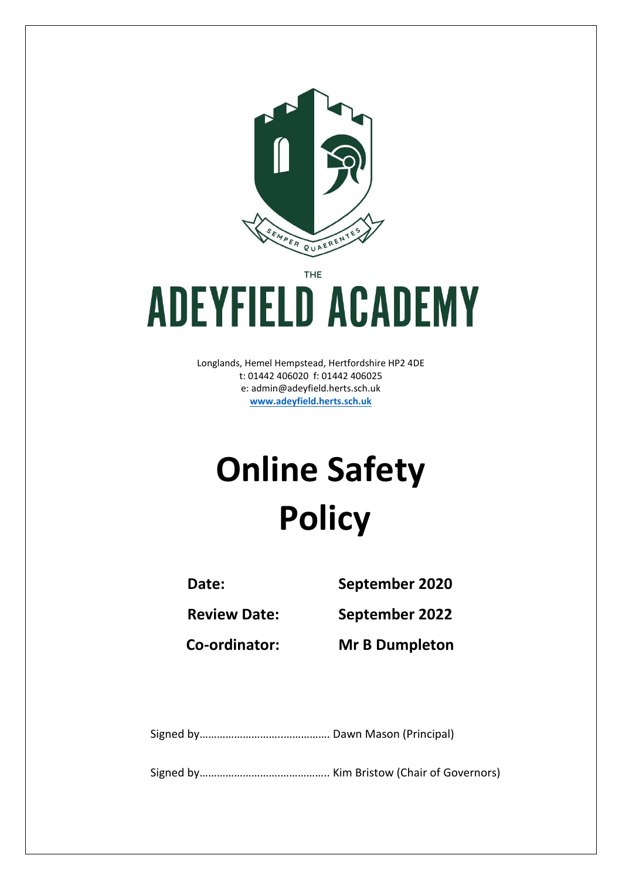

THE

# **ADEYFIELD ACADEMY**

Longlands, Hemel Hempstead, Hertfordshire HP2 4DE t: 01442 406020 f: 01442 406025 e: [admin@adeyfield.herts.sch.uk](mailto:admin@adeyfield.herts.sch.uk) **[www.adeyfield.herts.sch.uk](http://www.adeyfield.herts.sch.uk/)**

## **Online Safety Policy**

**Date: September 2020**

**Review Date: September 2022**

**Co-ordinator: Mr B Dumpleton**

Signed by………………………..……………. Dawn Mason (Principal)

Signed by……………………….…………….. Kim Bristow (Chair of Governors)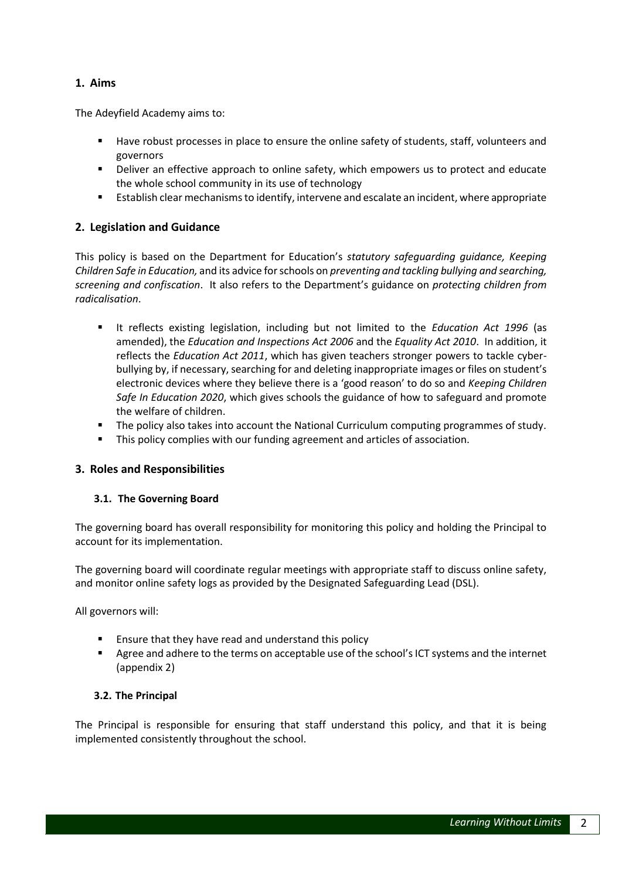#### **1. Aims**

The Adeyfield Academy aims to:

- Have robust processes in place to ensure the online safety of students, staff, volunteers and governors
- Deliver an effective approach to online safety, which empowers us to protect and educate the whole school community in its use of technology
- Establish clear mechanisms to identify, intervene and escalate an incident, where appropriate

#### **2. Legislation and Guidance**

This policy is based on the Department for Education's *statutory safeguarding guidance, [Keeping](https://www.gov.uk/government/publications/keeping-children-safe-in-education--2)  [Children Safe in Education,](https://www.gov.uk/government/publications/keeping-children-safe-in-education--2)* and its advice for schools on *[preventing and tackling bullying](https://www.gov.uk/government/publications/preventing-and-tackling-bullying) an[d searching,](https://www.gov.uk/government/publications/searching-screening-and-confiscation)  [screening and confiscation](https://www.gov.uk/government/publications/searching-screening-and-confiscation)*. It also refers to the Department's guidance on *[protecting children from](https://www.gov.uk/government/publications/protecting-children-from-radicalisation-the-prevent-duty)  [radicalisation](https://www.gov.uk/government/publications/protecting-children-from-radicalisation-the-prevent-duty)*.

- It reflects existing legislation, including but not limited to the *[Education Act 1996](https://www.legislation.gov.uk/ukpga/1996/56/contents)* (as amended), the *[Education and Inspections Act 2006](https://www.legislation.gov.uk/ukpga/2006/40/contents)* and the *[Equality Act 2010](https://www.legislation.gov.uk/ukpga/2010/15/contents)*. In addition, it reflects the *[Education Act 2011](http://www.legislation.gov.uk/ukpga/2011/21/contents/enacted)*, which has given teachers stronger powers to tackle cyberbullying by, if necessary, searching for and deleting inappropriate images or files on student's electronic devices where they believe there is a 'good reason' to do so and *Keeping Children Safe In Education 2020*, which gives schools the guidance of how to safeguard and promote the welfare of children.
- The policy also takes into account th[e National Curriculum computing programmes of study.](https://www.gov.uk/government/publications/national-curriculum-in-england-computing-programmes-of-study)
- **This policy complies with our funding agreement and articles of association.**

#### **3. Roles and Responsibilities**

#### **3.1. The Governing Board**

The governing board has overall responsibility for monitoring this policy and holding the Principal to account for its implementation.

The governing board will coordinate regular meetings with appropriate staff to discuss online safety, and monitor online safety logs as provided by the Designated Safeguarding Lead (DSL).

All governors will:

- Ensure that they have read and understand this policy
- Agree and adhere to the terms on acceptable use of the school's ICT systems and the internet (appendix 2)

#### **3.2. The Principal**

The Principal is responsible for ensuring that staff understand this policy, and that it is being implemented consistently throughout the school.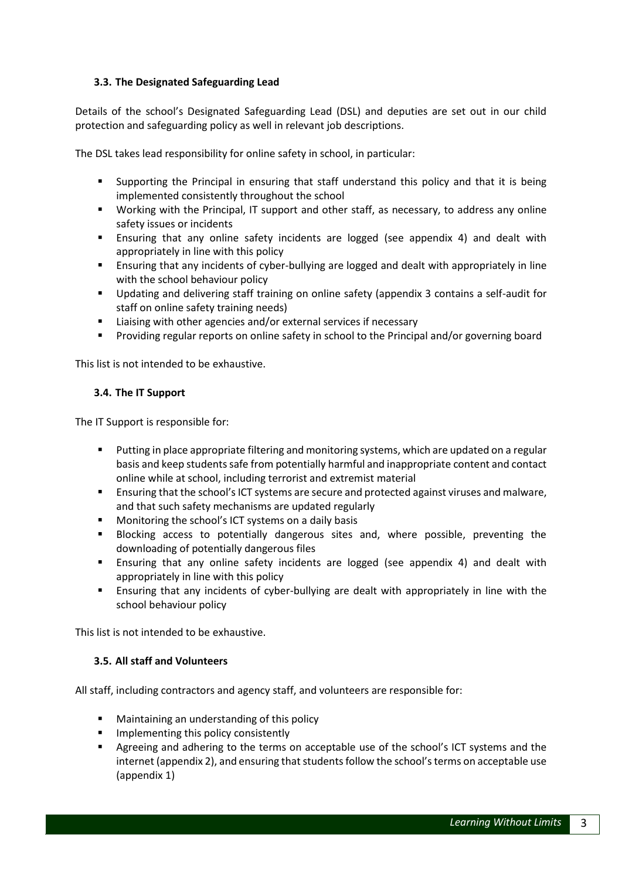#### **3.3. The Designated Safeguarding Lead**

Details of the school's Designated Safeguarding Lead (DSL) and deputies are set out in our child protection and safeguarding policy as well in relevant job descriptions.

The DSL takes lead responsibility for online safety in school, in particular:

- Supporting the Principal in ensuring that staff understand this policy and that it is being implemented consistently throughout the school
- Working with the Principal, IT support and other staff, as necessary, to address any online safety issues or incidents
- Ensuring that any online safety incidents are logged (see appendix 4) and dealt with appropriately in line with this policy
- Ensuring that any incidents of cyber-bullying are logged and dealt with appropriately in line with the school behaviour policy
- Updating and delivering staff training on online safety (appendix 3 contains a self-audit for staff on online safety training needs)
- Liaising with other agencies and/or external services if necessary
- Providing regular reports on online safety in school to the Principal and/or governing board

This list is not intended to be exhaustive.

#### **3.4. The IT Support**

The IT Support is responsible for:

- Putting in place appropriate filtering and monitoring systems, which are updated on a regular basis and keep students safe from potentially harmful and inappropriate content and contact online while at school, including terrorist and extremist material
- Ensuring that the school's ICT systems are secure and protected against viruses and malware, and that such safety mechanisms are updated regularly
- Monitoring the school's ICT systems on a daily basis
- Blocking access to potentially dangerous sites and, where possible, preventing the downloading of potentially dangerous files
- Ensuring that any online safety incidents are logged (see appendix 4) and dealt with appropriately in line with this policy
- Ensuring that any incidents of cyber-bullying are dealt with appropriately in line with the school behaviour policy

This list is not intended to be exhaustive.

#### **3.5. All staff and Volunteers**

All staff, including contractors and agency staff, and volunteers are responsible for:

- Maintaining an understanding of this policy
- Implementing this policy consistently
- Agreeing and adhering to the terms on acceptable use of the school's ICT systems and the internet (appendix 2), and ensuring that students follow the school's terms on acceptable use (appendix 1)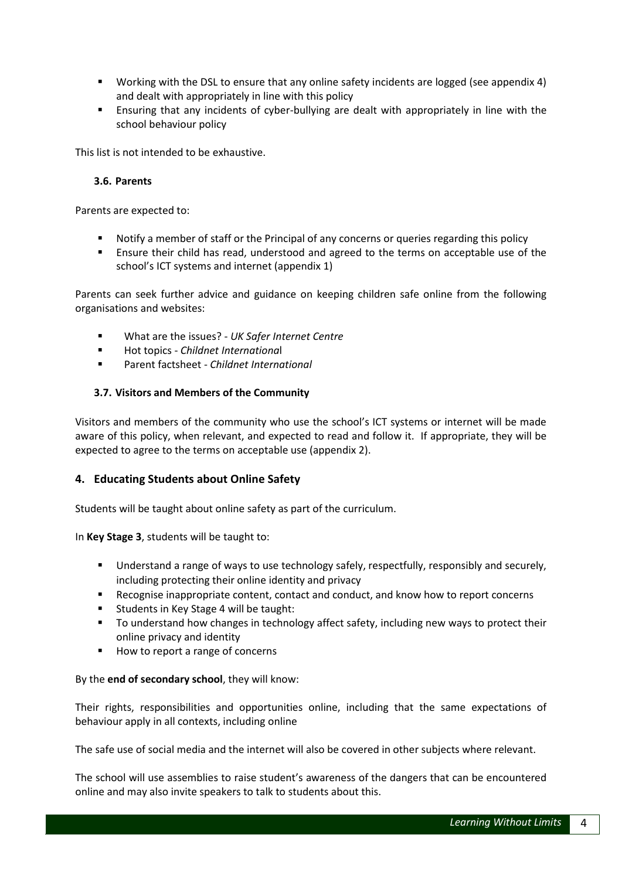- Working with the DSL to ensure that any online safety incidents are logged (see appendix 4) and dealt with appropriately in line with this policy
- Ensuring that any incidents of cyber-bullying are dealt with appropriately in line with the school behaviour policy

This list is not intended to be exhaustive.

#### **3.6. Parents**

Parents are expected to:

- Notify a member of staff or the Principal of any concerns or queries regarding this policy
- Ensure their child has read, understood and agreed to the terms on acceptable use of the school's ICT systems and internet (appendix 1)

Parents can seek further advice and guidance on keeping children safe online from the following organisations and websites:

- What are the issues? *[UK Safer Internet Centre](https://www.saferinternet.org.uk/advice-centre/parents-and-carers/what-are-issues)*
- Hot topics [-](http://www.childnet.com/parents-and-carers/hot-topics) *[Childnet Internationa](http://www.childnet.com/parents-and-carers/hot-topics)*l
- Parent factsheet [-](https://www.childnet.com/resources/parents-and-carers-resource-sheet) *[Childnet International](https://www.childnet.com/resources/parents-and-carers-resource-sheet)*

#### **3.7. Visitors and Members of the Community**

Visitors and members of the community who use the school's ICT systems or internet will be made aware of this policy, when relevant, and expected to read and follow it. If appropriate, they will be expected to agree to the terms on acceptable use (appendix 2).

#### **4. Educating Students about Online Safety**

Students will be taught about online safety as part of the curriculum.

In **Key Stage 3**, students will be taught to:

- Understand a range of ways to use technology safely, respectfully, responsibly and securely, including protecting their online identity and privacy
- Recognise inappropriate content, contact and conduct, and know how to report concerns
- Students in Key Stage 4 will be taught:
- To understand how changes in technology affect safety, including new ways to protect their online privacy and identity
- How to report a range of concerns

#### By the **end of secondary school**, they will know:

Their rights, responsibilities and opportunities online, including that the same expectations of behaviour apply in all contexts, including online

The safe use of social media and the internet will also be covered in other subjects where relevant.

The school will use assemblies to raise student's awareness of the dangers that can be encountered online and may also invite speakers to talk to students about this.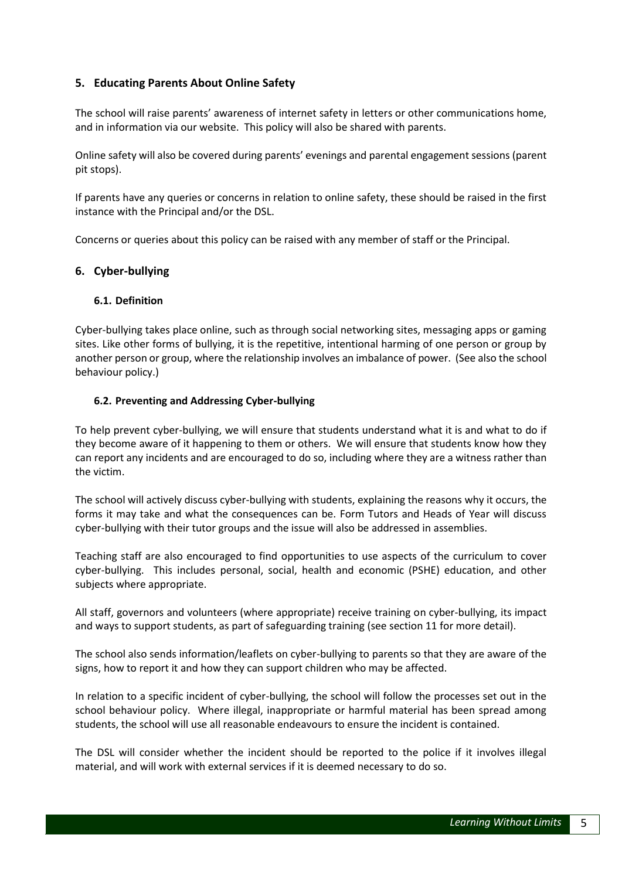#### **5. Educating Parents About Online Safety**

The school will raise parents' awareness of internet safety in letters or other communications home, and in information via our website. This policy will also be shared with parents.

Online safety will also be covered during parents' evenings and parental engagement sessions (parent pit stops).

If parents have any queries or concerns in relation to online safety, these should be raised in the first instance with the Principal and/or the DSL.

Concerns or queries about this policy can be raised with any member of staff or the Principal.

#### **6. Cyber-bullying**

#### **6.1. Definition**

Cyber-bullying takes place online, such as through social networking sites, messaging apps or gaming sites. Like other forms of bullying, it is the repetitive, intentional harming of one person or group by another person or group, where the relationship involves an imbalance of power. (See also the school behaviour policy.)

#### **6.2. Preventing and Addressing Cyber-bullying**

To help prevent cyber-bullying, we will ensure that students understand what it is and what to do if they become aware of it happening to them or others. We will ensure that students know how they can report any incidents and are encouraged to do so, including where they are a witness rather than the victim.

The school will actively discuss cyber-bullying with students, explaining the reasons why it occurs, the forms it may take and what the consequences can be. Form Tutors and Heads of Year will discuss cyber-bullying with their tutor groups and the issue will also be addressed in assemblies.

Teaching staff are also encouraged to find opportunities to use aspects of the curriculum to cover cyber-bullying. This includes personal, social, health and economic (PSHE) education, and other subjects where appropriate.

All staff, governors and volunteers (where appropriate) receive training on cyber-bullying, its impact and ways to support students, as part of safeguarding training (see section 11 for more detail).

The school also sends information/leaflets on cyber-bullying to parents so that they are aware of the signs, how to report it and how they can support children who may be affected.

In relation to a specific incident of cyber-bullying, the school will follow the processes set out in the school behaviour policy. Where illegal, inappropriate or harmful material has been spread among students, the school will use all reasonable endeavours to ensure the incident is contained.

The DSL will consider whether the incident should be reported to the police if it involves illegal material, and will work with external services if it is deemed necessary to do so.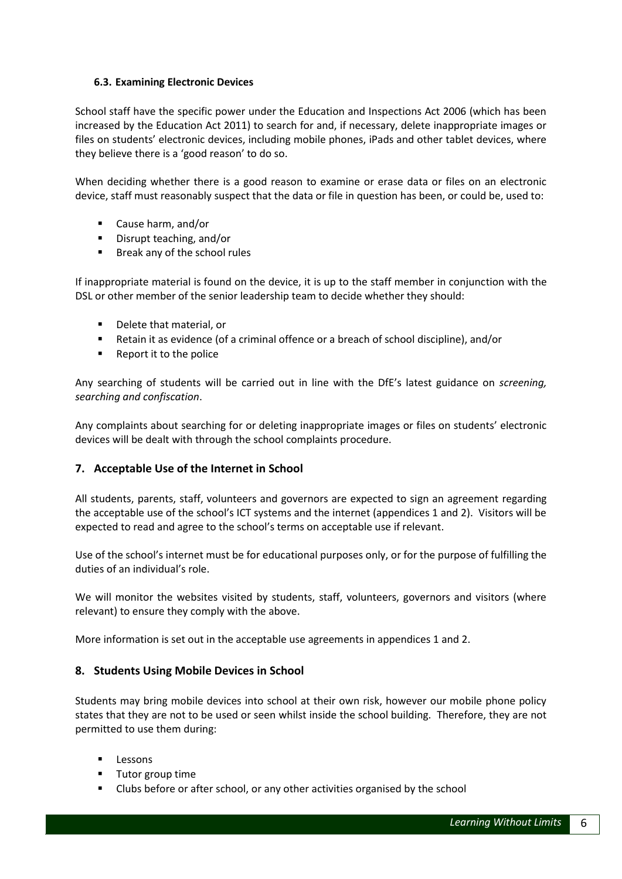#### **6.3. Examining Electronic Devices**

School staff have the specific power under the Education and Inspections Act 2006 (which has been increased by the Education Act 2011) to search for and, if necessary, delete inappropriate images or files on students' electronic devices, including mobile phones, iPads and other tablet devices, where they believe there is a 'good reason' to do so.

When deciding whether there is a good reason to examine or erase data or files on an electronic device, staff must reasonably suspect that the data or file in question has been, or could be, used to:

- Cause harm, and/or
- Disrupt teaching, and/or
- Break any of the school rules

If inappropriate material is found on the device, it is up to the staff member in conjunction with the DSL or other member of the senior leadership team to decide whether they should:

- Delete that material, or
- Retain it as evidence (of a criminal offence or a breach of school discipline), and/or
- $\blacksquare$  Report it to the police

Any searching of students will be carried out in line with the DfE's latest guidance on *[screening,](https://www.gov.uk/government/publications/searching-screening-and-confiscation)  [searching and confiscation](https://www.gov.uk/government/publications/searching-screening-and-confiscation)*.

Any complaints about searching for or deleting inappropriate images or files on students' electronic devices will be dealt with through the school complaints procedure.

#### **7. Acceptable Use of the Internet in School**

All students, parents, staff, volunteers and governors are expected to sign an agreement regarding the acceptable use of the school's ICT systems and the internet (appendices 1 and 2). Visitors will be expected to read and agree to the school's terms on acceptable use if relevant.

Use of the school's internet must be for educational purposes only, or for the purpose of fulfilling the duties of an individual's role.

We will monitor the websites visited by students, staff, volunteers, governors and visitors (where relevant) to ensure they comply with the above.

More information is set out in the acceptable use agreements in appendices 1 and 2.

#### **8. Students Using Mobile Devices in School**

Students may bring mobile devices into school at their own risk, however our mobile phone policy states that they are not to be used or seen whilst inside the school building. Therefore, they are not permitted to use them during:

- Lessons
- Tutor group time
- Clubs before or after school, or any other activities organised by the school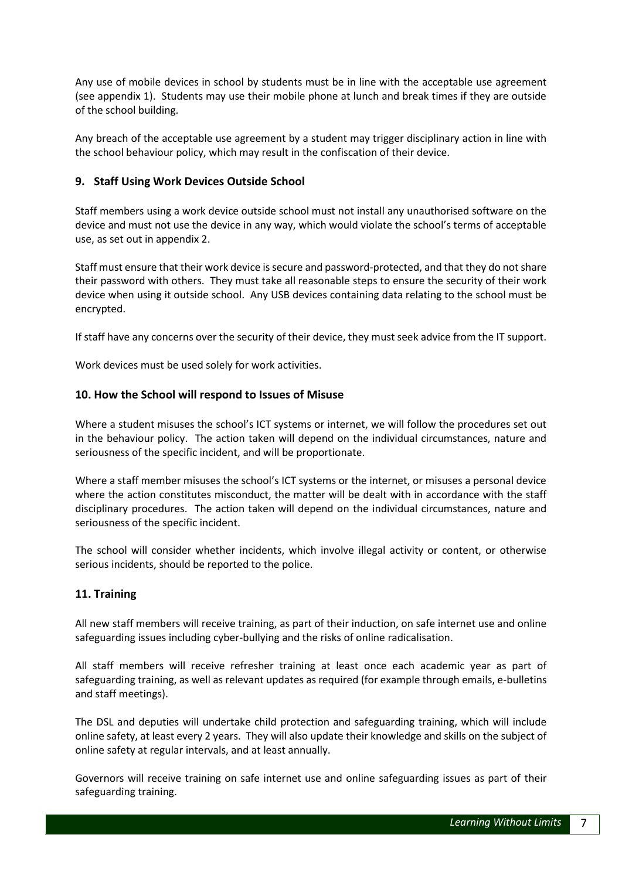Any use of mobile devices in school by students must be in line with the acceptable use agreement (see appendix 1). Students may use their mobile phone at lunch and break times if they are outside of the school building.

Any breach of the acceptable use agreement by a student may trigger disciplinary action in line with the school behaviour policy, which may result in the confiscation of their device.

#### **9. Staff Using Work Devices Outside School**

Staff members using a work device outside school must not install any unauthorised software on the device and must not use the device in any way, which would violate the school's terms of acceptable use, as set out in appendix 2.

Staff must ensure that their work device is secure and password-protected, and that they do not share their password with others. They must take all reasonable steps to ensure the security of their work device when using it outside school. Any USB devices containing data relating to the school must be encrypted.

If staff have any concerns over the security of their device, they must seek advice from the IT support.

Work devices must be used solely for work activities.

#### **10. How the School will respond to Issues of Misuse**

Where a student misuses the school's ICT systems or internet, we will follow the procedures set out in the behaviour policy. The action taken will depend on the individual circumstances, nature and seriousness of the specific incident, and will be proportionate.

Where a staff member misuses the school's ICT systems or the internet, or misuses a personal device where the action constitutes misconduct, the matter will be dealt with in accordance with the staff disciplinary procedures. The action taken will depend on the individual circumstances, nature and seriousness of the specific incident.

The school will consider whether incidents, which involve illegal activity or content, or otherwise serious incidents, should be reported to the police.

#### **11. Training**

All new staff members will receive training, as part of their induction, on safe internet use and online safeguarding issues including cyber-bullying and the risks of online radicalisation.

All staff members will receive refresher training at least once each academic year as part of safeguarding training, as well as relevant updates as required (for example through emails, e-bulletins and staff meetings).

The DSL and deputies will undertake child protection and safeguarding training, which will include online safety, at least every 2 years. They will also update their knowledge and skills on the subject of online safety at regular intervals, and at least annually.

Governors will receive training on safe internet use and online safeguarding issues as part of their safeguarding training.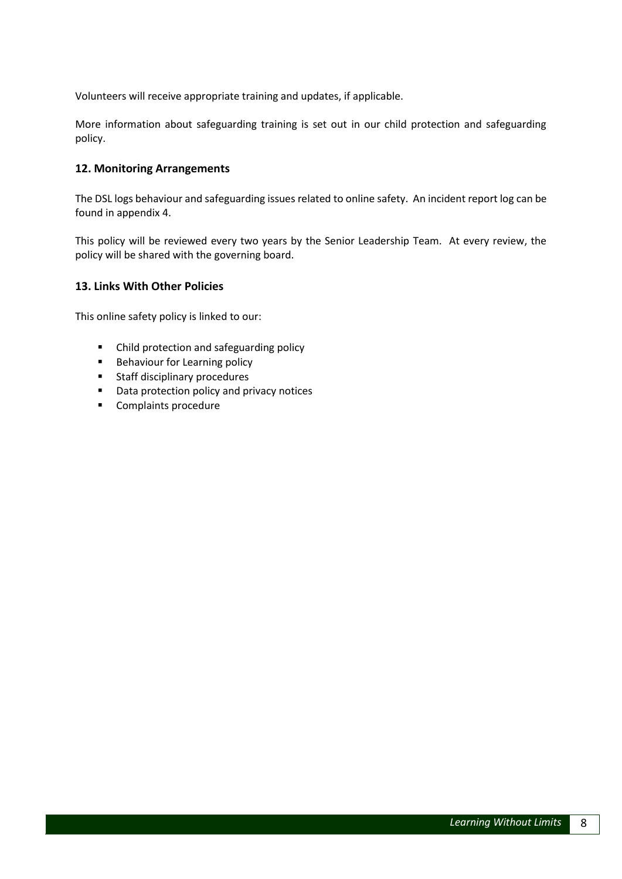Volunteers will receive appropriate training and updates, if applicable.

More information about safeguarding training is set out in our child protection and safeguarding policy.

#### **12. Monitoring Arrangements**

The DSL logs behaviour and safeguarding issues related to online safety. An incident report log can be found in appendix 4.

This policy will be reviewed every two years by the Senior Leadership Team. At every review, the policy will be shared with the governing board.

#### **13. Links With Other Policies**

This online safety policy is linked to our:

- Child protection and safeguarding policy
- **Behaviour for Learning policy**
- **Staff disciplinary procedures**
- Data protection policy and privacy notices
- **Complaints procedure**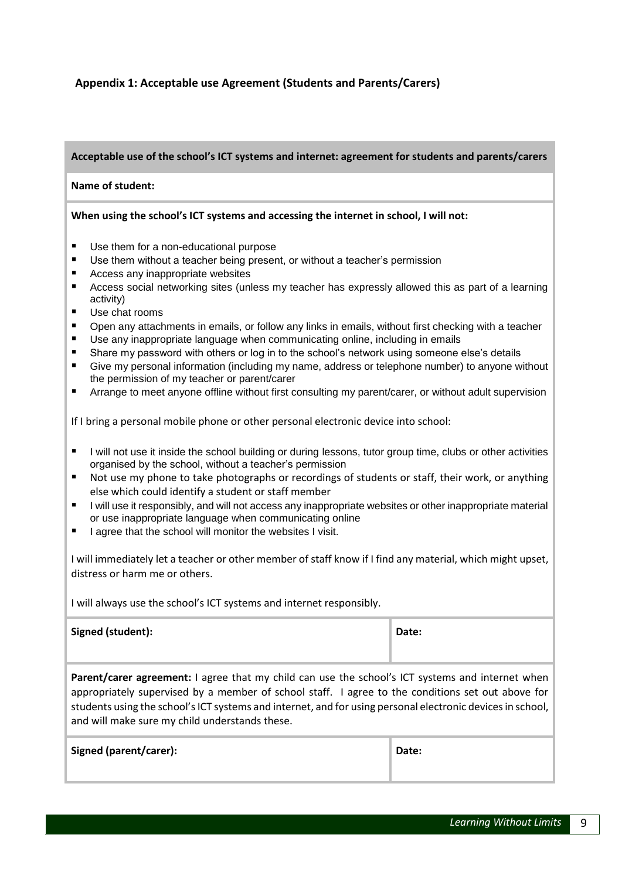#### **Appendix 1: Acceptable use Agreement (Students and Parents/Carers)**

#### **Acceptable use of the school's ICT systems and internet: agreement for students and parents/carers**

#### **Name of student:**

#### **When using the school's ICT systems and accessing the internet in school, I will not:**

- Use them for a non-educational purpose
- Use them without a teacher being present, or without a teacher's permission
- Access any inappropriate websites
- Access social networking sites (unless my teacher has expressly allowed this as part of a learning activity)
- Use chat rooms
- Open any attachments in emails, or follow any links in emails, without first checking with a teacher
- Use any inappropriate language when communicating online, including in emails
- Share my password with others or log in to the school's network using someone else's details
- Give my personal information (including my name, address or telephone number) to anyone without the permission of my teacher or parent/carer
- Arrange to meet anyone offline without first consulting my parent/carer, or without adult supervision

If I bring a personal mobile phone or other personal electronic device into school:

- I will not use it inside the school building or during lessons, tutor group time, clubs or other activities organised by the school, without a teacher's permission
- Not use my phone to take photographs or recordings of students or staff, their work, or anything else which could identify a student or staff member
- I limit use it responsibly, and will not access any inappropriate websites or other inappropriate material or use inappropriate language when communicating online
- I agree that the school will monitor the websites I visit.

I will immediately let a teacher or other member of staff know if I find any material, which might upset, distress or harm me or others.

I will always use the school's ICT systems and internet responsibly.

| Signed (student): | Date: |
|-------------------|-------|
|                   |       |

Parent/carer agreement: I agree that my child can use the school's ICT systems and internet when appropriately supervised by a member of school staff. I agree to the conditions set out above for students using the school's ICT systems and internet, and for using personal electronic devices in school, and will make sure my child understands these.

| Signed (parent/carer): | Date: |
|------------------------|-------|
|------------------------|-------|

| 'atı<br>c<br>۰.<br>. .<br>× |
|-----------------------------|
|-----------------------------|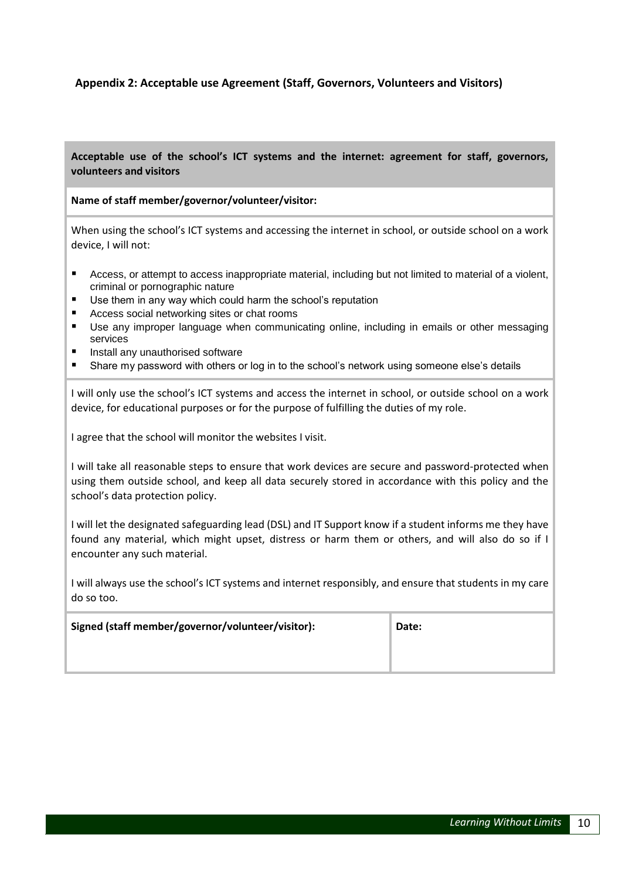#### **Appendix 2: Acceptable use Agreement (Staff, Governors, Volunteers and Visitors)**

**Acceptable use of the school's ICT systems and the internet: agreement for staff, governors, volunteers and visitors**

#### **Name of staff member/governor/volunteer/visitor:**

When using the school's ICT systems and accessing the internet in school, or outside school on a work device, I will not:

- Access, or attempt to access inappropriate material, including but not limited to material of a violent, criminal or pornographic nature
- Use them in any way which could harm the school's reputation
- Access social networking sites or chat rooms
- Use any improper language when communicating online, including in emails or other messaging services
- Install any unauthorised software
- Share my password with others or log in to the school's network using someone else's details

I will only use the school's ICT systems and access the internet in school, or outside school on a work device, for educational purposes or for the purpose of fulfilling the duties of my role.

I agree that the school will monitor the websites I visit.

I will take all reasonable steps to ensure that work devices are secure and password-protected when using them outside school, and keep all data securely stored in accordance with this policy and the school's data protection policy.

I will let the designated safeguarding lead (DSL) and IT Support know if a student informs me they have found any material, which might upset, distress or harm them or others, and will also do so if I encounter any such material.

I will always use the school's ICT systems and internet responsibly, and ensure that students in my care do so too.

| Signed (staff member/governor/volunteer/visitor): | Date: |
|---------------------------------------------------|-------|
|                                                   |       |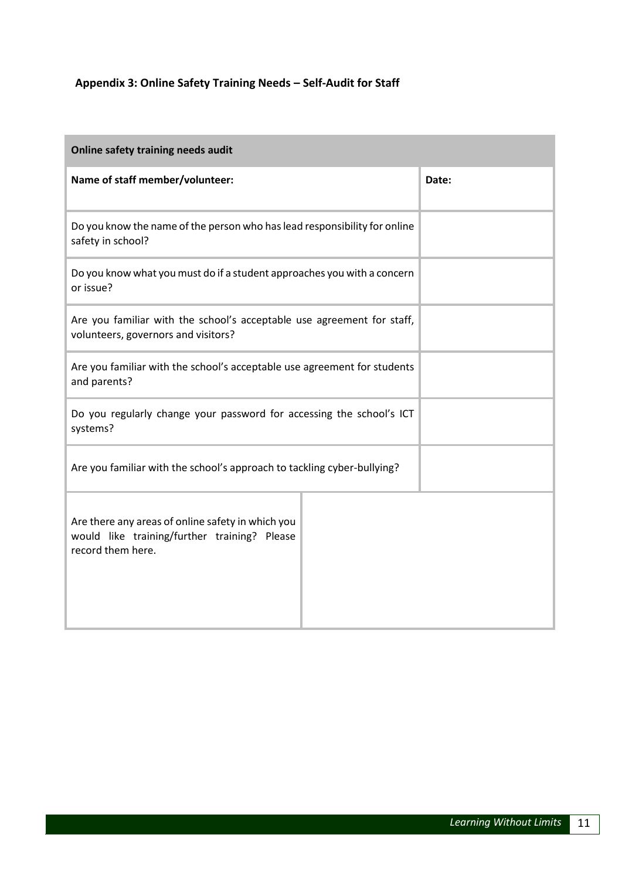### **Appendix 3: Online Safety Training Needs – Self-Audit for Staff**

| Online safety training needs audit                                                                                     |       |  |  |  |  |
|------------------------------------------------------------------------------------------------------------------------|-------|--|--|--|--|
| Name of staff member/volunteer:                                                                                        | Date: |  |  |  |  |
| Do you know the name of the person who has lead responsibility for online<br>safety in school?                         |       |  |  |  |  |
| Do you know what you must do if a student approaches you with a concern<br>or issue?                                   |       |  |  |  |  |
| Are you familiar with the school's acceptable use agreement for staff,<br>volunteers, governors and visitors?          |       |  |  |  |  |
| Are you familiar with the school's acceptable use agreement for students<br>and parents?                               |       |  |  |  |  |
| Do you regularly change your password for accessing the school's ICT<br>systems?                                       |       |  |  |  |  |
| Are you familiar with the school's approach to tackling cyber-bullying?                                                |       |  |  |  |  |
| Are there any areas of online safety in which you<br>would like training/further training? Please<br>record them here. |       |  |  |  |  |